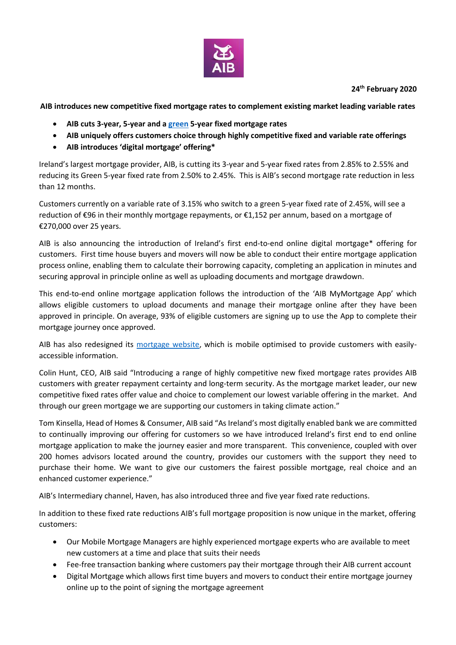

# **24th February 2020**

**AIB introduces new competitive fixed mortgage rates to complement existing market leading variable rates** 

- **AIB cuts 3-year, 5-year and a [green](https://aib.ie/our-products/mortgages#colViewTwo-pane-1) 5-year fixed mortgage rates**
- **AIB uniquely offers customers choice through highly competitive fixed and variable rate offerings**
- **AIB introduces 'digital mortgage' offering\***

Ireland's largest mortgage provider, AIB, is cutting its 3-year and 5-year fixed rates from 2.85% to 2.55% and reducing its Green 5-year fixed rate from 2.50% to 2.45%. This is AIB's second mortgage rate reduction in less than 12 months.

Customers currently on a variable rate of 3.15% who switch to a green 5-year fixed rate of 2.45%, will see a reduction of €96 in their monthly mortgage repayments, or €1,152 per annum, based on a mortgage of €270,000 over 25 years.

AIB is also announcing the introduction of Ireland's first end-to-end online digital mortgage\* offering for customers. First time house buyers and movers will now be able to conduct their entire mortgage application process online, enabling them to calculate their borrowing capacity, completing an application in minutes and securing approval in principle online as well as uploading documents and mortgage drawdown.

This end-to-end online mortgage application follows the introduction of the 'AIB MyMortgage App' which allows eligible customers to upload documents and manage their mortgage online after they have been approved in principle. On average, 93% of eligible customers are signing up to use the App to complete their mortgage journey once approved.

AIB has also redesigned its [mortgage](https://aib.ie/our-products/mortgages) website, which is mobile optimised to provide customers with easilyaccessible information.

Colin Hunt, CEO, AIB said "Introducing a range of highly competitive new fixed mortgage rates provides AIB customers with greater repayment certainty and long-term security. As the mortgage market leader, our new competitive fixed rates offer value and choice to complement our lowest variable offering in the market. And through our green mortgage we are supporting our customers in taking climate action."

Tom Kinsella, Head of Homes & Consumer, AIB said "As Ireland's most digitally enabled bank we are committed to continually improving our offering for customers so we have introduced Ireland's first end to end online mortgage application to make the journey easier and more transparent. This convenience, coupled with over 200 homes advisors located around the country, provides our customers with the support they need to purchase their home. We want to give our customers the fairest possible mortgage, real choice and an enhanced customer experience."

AIB's Intermediary channel, Haven, has also introduced three and five year fixed rate reductions.

In addition to these fixed rate reductions AIB's full mortgage proposition is now unique in the market, offering customers:

- Our Mobile Mortgage Managers are highly experienced mortgage experts who are available to meet new customers at a time and place that suits their needs
- Fee-free transaction banking where customers pay their mortgage through their AIB current account
- Digital Mortgage which allows first time buyers and movers to conduct their entire mortgage journey online up to the point of signing the mortgage agreement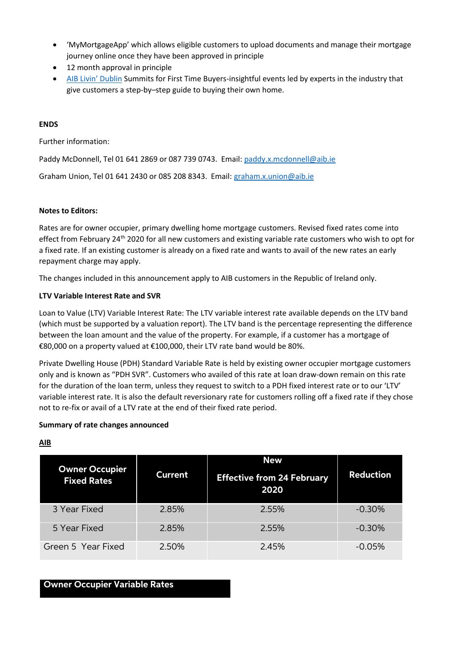- 'MyMortgageApp' which allows eligible customers to upload documents and manage their mortgage journey online once they have been approved in principle
- 12 month approval in principle
- [AIB Livin](https://lovindublin.com/livin-dublin)' Dublin Summits for First Time Buyers-insightful events led by experts in the industry that give customers a step-by–step guide to buying their own home.

# **ENDS**

Further information:

Paddy McDonnell, Tel 01 641 2869 or 087 739 0743. Email: [paddy.x.mcdonnell@aib.ie](mailto:paddy.x.mcdonnell@aib.ie)

Graham Union, Tel 01 641 2430 or 085 208 8343. Email: [graham.x.union@aib.ie](mailto:graham.x.union@aib.ie)

# **Notes to Editors:**

Rates are for owner occupier, primary dwelling home mortgage customers. Revised fixed rates come into effect from February 24<sup>th</sup> 2020 for all new customers and existing variable rate customers who wish to opt for a fixed rate. If an existing customer is already on a fixed rate and wants to avail of the new rates an early repayment charge may apply.

The changes included in this announcement apply to AIB customers in the Republic of Ireland only.

# **LTV Variable Interest Rate and SVR**

Loan to Value (LTV) Variable Interest Rate: The LTV variable interest rate available depends on the LTV band (which must be supported by a valuation report). The LTV band is the percentage representing the difference between the loan amount and the value of the property. For example, if a customer has a mortgage of €80,000 on a property valued at €100,000, their LTV rate band would be 80%.

Private Dwelling House (PDH) Standard Variable Rate is held by existing owner occupier mortgage customers only and is known as "PDH SVR". Customers who availed of this rate at loan draw-down remain on this rate for the duration of the loan term, unless they request to switch to a PDH fixed interest rate or to our 'LTV' variable interest rate. It is also the default reversionary rate for customers rolling off a fixed rate if they chose not to re-fix or avail of a LTV rate at the end of their fixed rate period.

#### **Summary of rate changes announced**

# **AIB**

| <b>Owner Occupier</b><br><b>Fixed Rates</b> | <b>Current</b> | <b>New</b><br><b>Effective from 24 February</b><br>2020 | <b>Reduction</b> |
|---------------------------------------------|----------------|---------------------------------------------------------|------------------|
| 3 Year Fixed                                | 2.85%          | 2.55%                                                   | $-0.30%$         |
| 5 Year Fixed                                | 2.85%          | 2.55%                                                   | $-0.30%$         |
| Green 5 Year Fixed                          | 2.50%          | 2.45%                                                   | $-0.05%$         |

# **Owner Occupier Variable Rates**